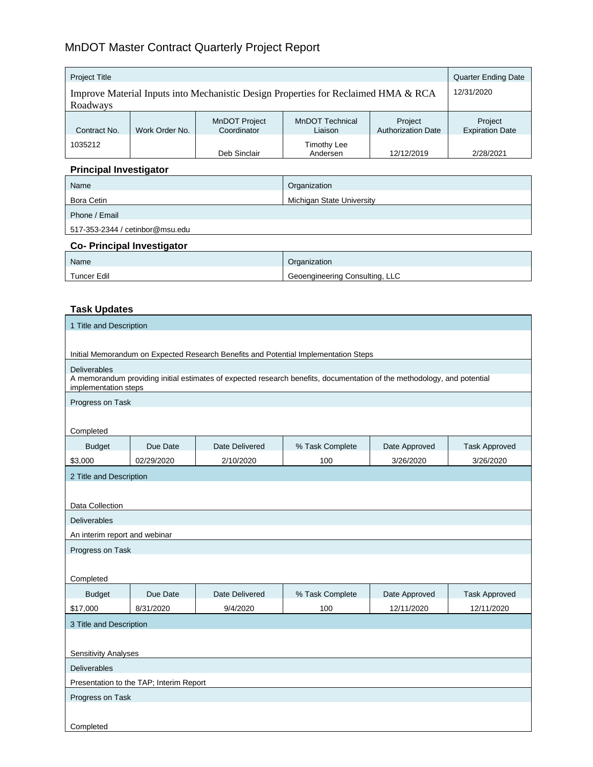# MnDOT Master Contract Quarterly Project Report

| <b>Project Title</b>                                                               |                |                                     |                                   | <b>Quarter Ending Date</b>           |                                   |
|------------------------------------------------------------------------------------|----------------|-------------------------------------|-----------------------------------|--------------------------------------|-----------------------------------|
| Improve Material Inputs into Mechanistic Design Properties for Reclaimed HMA & RCA |                |                                     |                                   | 12/31/2020                           |                                   |
| Roadways                                                                           |                |                                     |                                   |                                      |                                   |
| Contract No.                                                                       | Work Order No. | <b>MnDOT Project</b><br>Coordinator | <b>MnDOT Technical</b><br>Liaison | Project<br><b>Authorization Date</b> | Project<br><b>Expiration Date</b> |
| 1035212                                                                            |                | Deb Sinclair                        | <b>Timothy Lee</b><br>Andersen    | 12/12/2019                           | 2/28/2021                         |

# **Principal Investigator**

| Name                                      | Organization              |  |
|-------------------------------------------|---------------------------|--|
| Bora Cetin                                | Michigan State University |  |
| Phone / Email                             |                           |  |
| 517-353-2344 / cetinbor@msu.edu           |                           |  |
| $\sim$ $\sim$ $\sim$ $\sim$ $\sim$ $\sim$ |                           |  |

#### **Co- Principal Investigator**

| <b>Name</b>        | Organization                   |
|--------------------|--------------------------------|
| <b>Tuncer Edil</b> | Geoengineering Consulting, LLC |

## **Task Updates**

| 1 Title and Description                                                                                                                                                |            |                |                                                                                     |               |                      |
|------------------------------------------------------------------------------------------------------------------------------------------------------------------------|------------|----------------|-------------------------------------------------------------------------------------|---------------|----------------------|
|                                                                                                                                                                        |            |                |                                                                                     |               |                      |
|                                                                                                                                                                        |            |                | Initial Memorandum on Expected Research Benefits and Potential Implementation Steps |               |                      |
| <b>Deliverables</b><br>A memorandum providing initial estimates of expected research benefits, documentation of the methodology, and potential<br>implementation steps |            |                |                                                                                     |               |                      |
| Progress on Task                                                                                                                                                       |            |                |                                                                                     |               |                      |
| Completed                                                                                                                                                              |            |                |                                                                                     |               |                      |
| <b>Budget</b>                                                                                                                                                          | Due Date   | Date Delivered | % Task Complete                                                                     | Date Approved | <b>Task Approved</b> |
| \$3,000                                                                                                                                                                | 02/29/2020 | 2/10/2020      | 100                                                                                 | 3/26/2020     | 3/26/2020            |
| 2 Title and Description                                                                                                                                                |            |                |                                                                                     |               |                      |
|                                                                                                                                                                        |            |                |                                                                                     |               |                      |
| Data Collection                                                                                                                                                        |            |                |                                                                                     |               |                      |
| <b>Deliverables</b>                                                                                                                                                    |            |                |                                                                                     |               |                      |
| An interim report and webinar                                                                                                                                          |            |                |                                                                                     |               |                      |
| Progress on Task                                                                                                                                                       |            |                |                                                                                     |               |                      |
| Completed                                                                                                                                                              |            |                |                                                                                     |               |                      |
| <b>Budget</b>                                                                                                                                                          | Due Date   | Date Delivered | % Task Complete                                                                     | Date Approved | <b>Task Approved</b> |
| \$17,000                                                                                                                                                               | 8/31/2020  | 9/4/2020       | 100                                                                                 | 12/11/2020    | 12/11/2020           |
| 3 Title and Description                                                                                                                                                |            |                |                                                                                     |               |                      |
|                                                                                                                                                                        |            |                |                                                                                     |               |                      |
| <b>Sensitivity Analyses</b>                                                                                                                                            |            |                |                                                                                     |               |                      |
| <b>Deliverables</b>                                                                                                                                                    |            |                |                                                                                     |               |                      |
| Presentation to the TAP; Interim Report                                                                                                                                |            |                |                                                                                     |               |                      |
| Progress on Task                                                                                                                                                       |            |                |                                                                                     |               |                      |
| Completed                                                                                                                                                              |            |                |                                                                                     |               |                      |